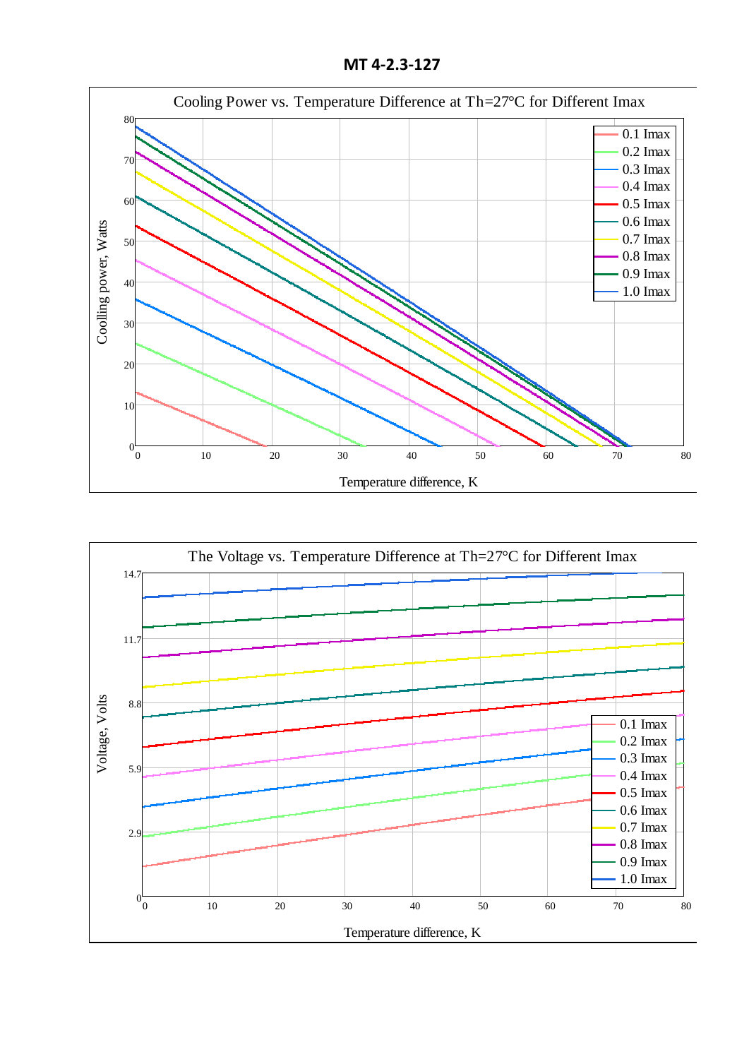**MT 4-2.3-127**